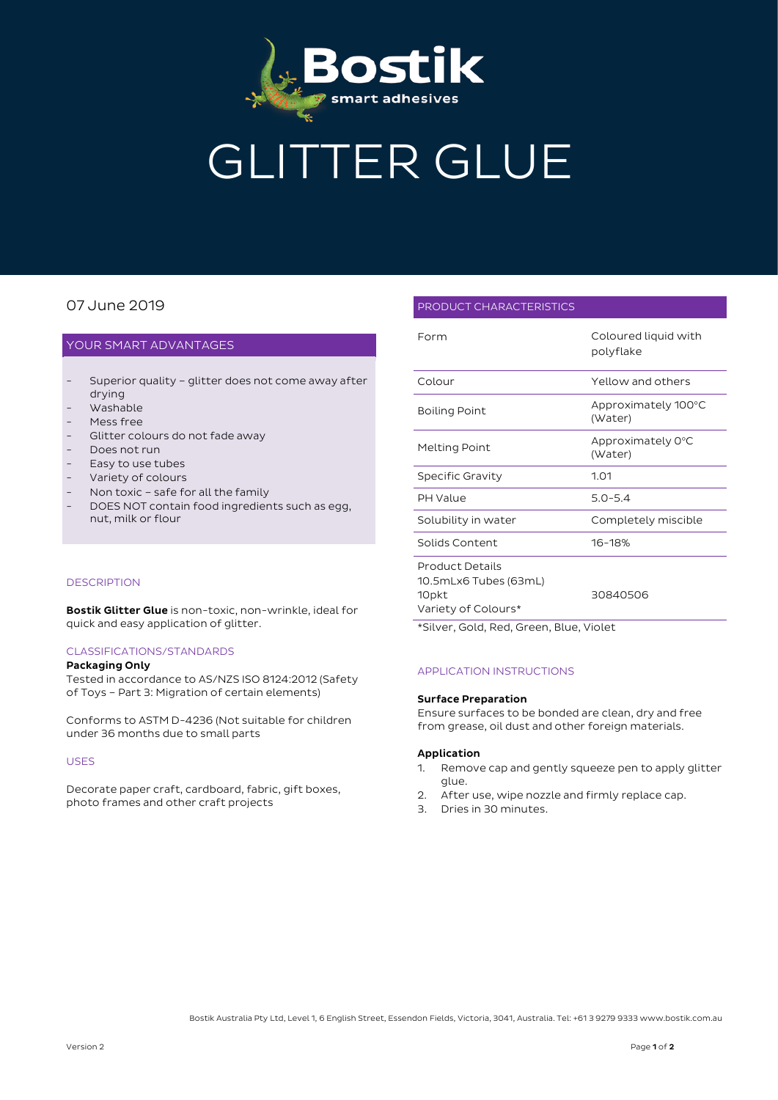

# GLITTER GLUE

## 07 June 2019

#### YOUR SMART ADVANTAGES

- Superior quality glitter does not come away after drying
- Washable
- Mess free
- Glitter colours do not fade away
- Does not run
- Easy to use tubes
- Variety of colours
- Non toxic safe for all the family
- DOES NOT contain food ingredients such as egg, nut, milk or flour

#### **DESCRIPTION**

Bostik Glitter Glue is non-toxic, non-wrinkle, ideal for quick and easy application of glitter.

#### CLASSIFICATIONS/STANDARDS

#### Packaging Only

Tested in accordance to AS/NZS ISO 8124:2012 (Safety of Toys – Part 3: Migration of certain elements)

Conforms to ASTM D-4236 (Not suitable for children under 36 months due to small parts

#### USES

Decorate paper craft, cardboard, fabric, gift boxes, photo frames and other craft projects

#### PRODUCT CHARACTERISTICS

| Form                                                                            | Coloured liquid with<br>polyflake |
|---------------------------------------------------------------------------------|-----------------------------------|
| Colour                                                                          | Yellow and others                 |
| <b>Boiling Point</b>                                                            | Approximately 100°C<br>(Water)    |
| Melting Point                                                                   | Approximately 0°C<br>(Water)      |
| Specific Gravity                                                                | 1.01                              |
| <b>PH Value</b>                                                                 | $5.0 - 5.4$                       |
| Solubility in water                                                             | Completely miscible               |
| Solids Content                                                                  | 16-18%                            |
| <b>Product Details</b><br>10.5mLx6 Tubes (63mL)<br>10pkt<br>Variety of Colours* | 30840506                          |

\*Silver, Gold, Red, Green, Blue, Violet

#### APPLICATION INSTRUCTIONS

#### Surface Preparation

Ensure surfaces to be bonded are clean, dry and free from grease, oil dust and other foreign materials.

#### Application

- 1. Remove cap and gently squeeze pen to apply glitter glue.
- 2. After use, wipe nozzle and firmly replace cap.
- 3. Dries in 30 minutes.